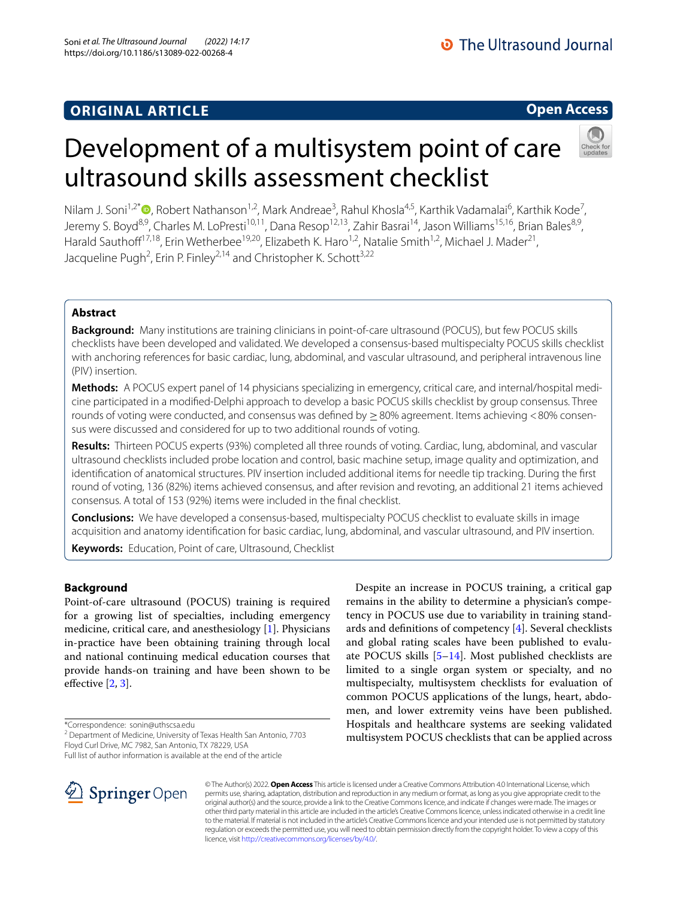## **Open Access**

## Nilam J. Soni<sup>1,2[\\*](http://orcid.org/0000-0002-8460-0323)</sup> <sup>(D</sup>, Robert Nathanson<sup>1,2</sup>, Mark Andreae<sup>3</sup>, Rahul Khosla<sup>4,5</sup>, Karthik Vadamalai<sup>6</sup>, Karthik Kode<sup>7</sup>, Jeremy S. Boyd<sup>8,9</sup>, Charles M. LoPresti<sup>10,11</sup>, Dana Resop<sup>12,13</sup>, Zahir Basrai<sup>14</sup>, Jason Williams<sup>15,16</sup>, Brian Bales<sup>8,9</sup>, Harald Sauthoff<sup>17,18</sup>, Erin Wetherbee<sup>19,20</sup>, Elizabeth K. Haro<sup>1,2</sup>, Natalie Smith<sup>1,2</sup>, Michael J. Mader<sup>21</sup>, Jacqueline Pugh<sup>2</sup>, Erin P. Finley<sup>2,14</sup> and Christopher K. Schott<sup>3,22</sup>

Development of a multisystem point of care

ultrasound skills assessment checklist

### **Abstract**

**Background:** Many institutions are training clinicians in point-of-care ultrasound (POCUS), but few POCUS skills checklists have been developed and validated. We developed a consensus-based multispecialty POCUS skills checklist with anchoring references for basic cardiac, lung, abdominal, and vascular ultrasound, and peripheral intravenous line (PIV) insertion.

**Methods:** A POCUS expert panel of 14 physicians specializing in emergency, critical care, and internal/hospital medicine participated in a modifed-Delphi approach to develop a basic POCUS skills checklist by group consensus. Three rounds of voting were conducted, and consensus was defined by  $\geq$  80% agreement. Items achieving <80% consensus were discussed and considered for up to two additional rounds of voting.

**Results:** Thirteen POCUS experts (93%) completed all three rounds of voting. Cardiac, lung, abdominal, and vascular ultrasound checklists included probe location and control, basic machine setup, image quality and optimization, and identifcation of anatomical structures. PIV insertion included additional items for needle tip tracking. During the frst round of voting, 136 (82%) items achieved consensus, and after revision and revoting, an additional 21 items achieved consensus. A total of 153 (92%) items were included in the fnal checklist.

**Conclusions:** We have developed a consensus-based, multispecialty POCUS checklist to evaluate skills in image acquisition and anatomy identifcation for basic cardiac, lung, abdominal, and vascular ultrasound, and PIV insertion.

**Keywords:** Education, Point of care, Ultrasound, Checklist

### **Background**

Point-of-care ultrasound (POCUS) training is required for a growing list of specialties, including emergency medicine, critical care, and anesthesiology [\[1](#page-6-0)]. Physicians in-practice have been obtaining training through local and national continuing medical education courses that provide hands-on training and have been shown to be effective  $[2, 3]$  $[2, 3]$  $[2, 3]$ .

\*Correspondence: sonin@uthscsa.edu

Full list of author information is available at the end of the article



Despite an increase in POCUS training, a critical gap remains in the ability to determine a physician's competency in POCUS use due to variability in training standards and defnitions of competency [[4\]](#page-6-3). Several checklists and global rating scales have been published to evaluate POCUS skills [\[5–](#page-6-4)[14\]](#page-6-5). Most published checklists are limited to a single organ system or specialty, and no multispecialty, multisystem checklists for evaluation of common POCUS applications of the lungs, heart, abdomen, and lower extremity veins have been published. Hospitals and healthcare systems are seeking validated multisystem POCUS checklists that can be applied across

© The Author(s) 2022. **Open Access** This article is licensed under a Creative Commons Attribution 4.0 International License, which permits use, sharing, adaptation, distribution and reproduction in any medium or format, as long as you give appropriate credit to the original author(s) and the source, provide a link to the Creative Commons licence, and indicate if changes were made. The images or other third party material in this article are included in the article's Creative Commons licence, unless indicated otherwise in a credit line to the material. If material is not included in the article's Creative Commons licence and your intended use is not permitted by statutory regulation or exceeds the permitted use, you will need to obtain permission directly from the copyright holder. To view a copy of this licence, visit [http://creativecommons.org/licenses/by/4.0/.](http://creativecommons.org/licenses/by/4.0/)

<sup>&</sup>lt;sup>2</sup> Department of Medicine, University of Texas Health San Antonio, 7703 Floyd Curl Drive, MC 7982, San Antonio, TX 78229, USA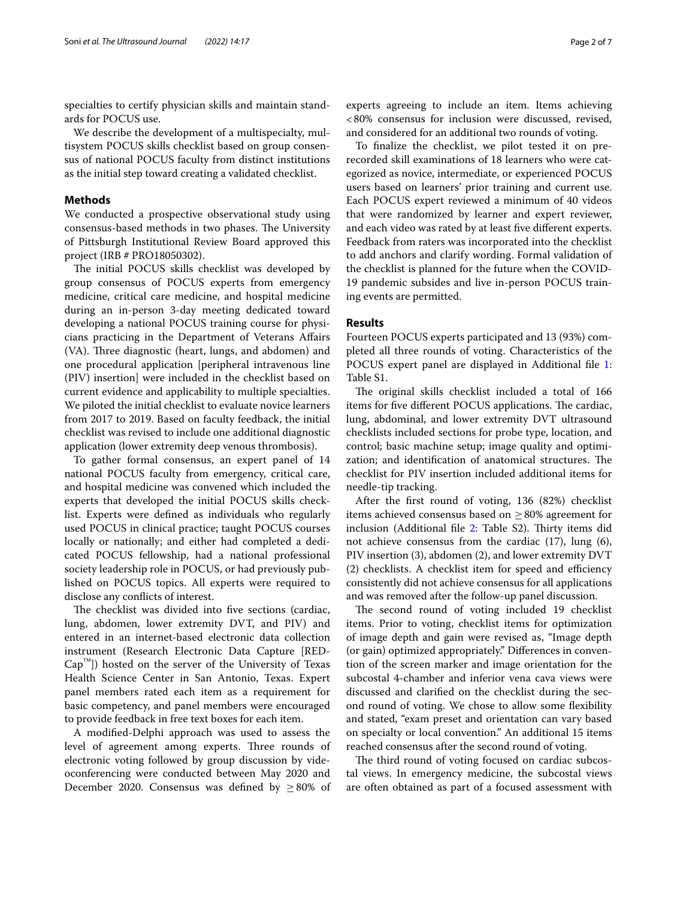specialties to certify physician skills and maintain standards for POCUS use.

We describe the development of a multispecialty, multisystem POCUS skills checklist based on group consensus of national POCUS faculty from distinct institutions as the initial step toward creating a validated checklist.

### **Methods**

We conducted a prospective observational study using consensus-based methods in two phases. The University of Pittsburgh Institutional Review Board approved this project (IRB # PRO18050302).

The initial POCUS skills checklist was developed by group consensus of POCUS experts from emergency medicine, critical care medicine, and hospital medicine during an in-person 3-day meeting dedicated toward developing a national POCUS training course for physicians practicing in the Department of Veterans Afairs (VA). Three diagnostic (heart, lungs, and abdomen) and one procedural application [peripheral intravenous line (PIV) insertion] were included in the checklist based on current evidence and applicability to multiple specialties. We piloted the initial checklist to evaluate novice learners from 2017 to 2019. Based on faculty feedback, the initial checklist was revised to include one additional diagnostic application (lower extremity deep venous thrombosis).

To gather formal consensus, an expert panel of 14 national POCUS faculty from emergency, critical care, and hospital medicine was convened which included the experts that developed the initial POCUS skills checklist. Experts were defned as individuals who regularly used POCUS in clinical practice; taught POCUS courses locally or nationally; and either had completed a dedicated POCUS fellowship, had a national professional society leadership role in POCUS, or had previously published on POCUS topics. All experts were required to disclose any conficts of interest.

The checklist was divided into five sections (cardiac, lung, abdomen, lower extremity DVT, and PIV) and entered in an internet-based electronic data collection instrument (Research Electronic Data Capture [RED- $Cap<sup>1M</sup>$ ) hosted on the server of the University of Texas Health Science Center in San Antonio, Texas. Expert panel members rated each item as a requirement for basic competency, and panel members were encouraged to provide feedback in free text boxes for each item.

A modifed-Delphi approach was used to assess the level of agreement among experts. Three rounds of electronic voting followed by group discussion by videoconferencing were conducted between May 2020 and December 2020. Consensus was defined by  $\geq 80\%$  of experts agreeing to include an item. Items achieving <80% consensus for inclusion were discussed, revised, and considered for an additional two rounds of voting.

To fnalize the checklist, we pilot tested it on prerecorded skill examinations of 18 learners who were categorized as novice, intermediate, or experienced POCUS users based on learners' prior training and current use. Each POCUS expert reviewed a minimum of 40 videos that were randomized by learner and expert reviewer, and each video was rated by at least fve diferent experts. Feedback from raters was incorporated into the checklist to add anchors and clarify wording. Formal validation of the checklist is planned for the future when the COVID-19 pandemic subsides and live in-person POCUS training events are permitted.

### **Results**

Fourteen POCUS experts participated and 13 (93%) completed all three rounds of voting. Characteristics of the POCUS expert panel are displayed in Additional fle [1](#page-5-0): Table S1.

The original skills checklist included a total of 166 items for five different POCUS applications. The cardiac, lung, abdominal, and lower extremity DVT ultrasound checklists included sections for probe type, location, and control; basic machine setup; image quality and optimization; and identification of anatomical structures. The checklist for PIV insertion included additional items for needle-tip tracking.

After the frst round of voting, 136 (82%) checklist items achieved consensus based on  $\geq 80\%$  agreement for inclusion (Additional file [2](#page-5-1): Table S2). Thirty items did not achieve consensus from the cardiac (17), lung (6), PIV insertion (3), abdomen (2), and lower extremity DVT  $(2)$  checklists. A checklist item for speed and efficiency consistently did not achieve consensus for all applications and was removed after the follow-up panel discussion.

The second round of voting included 19 checklist items. Prior to voting, checklist items for optimization of image depth and gain were revised as, "Image depth (or gain) optimized appropriately." Diferences in convention of the screen marker and image orientation for the subcostal 4-chamber and inferior vena cava views were discussed and clarifed on the checklist during the second round of voting. We chose to allow some fexibility and stated, "exam preset and orientation can vary based on specialty or local convention." An additional 15 items reached consensus after the second round of voting.

The third round of voting focused on cardiac subcostal views. In emergency medicine, the subcostal views are often obtained as part of a focused assessment with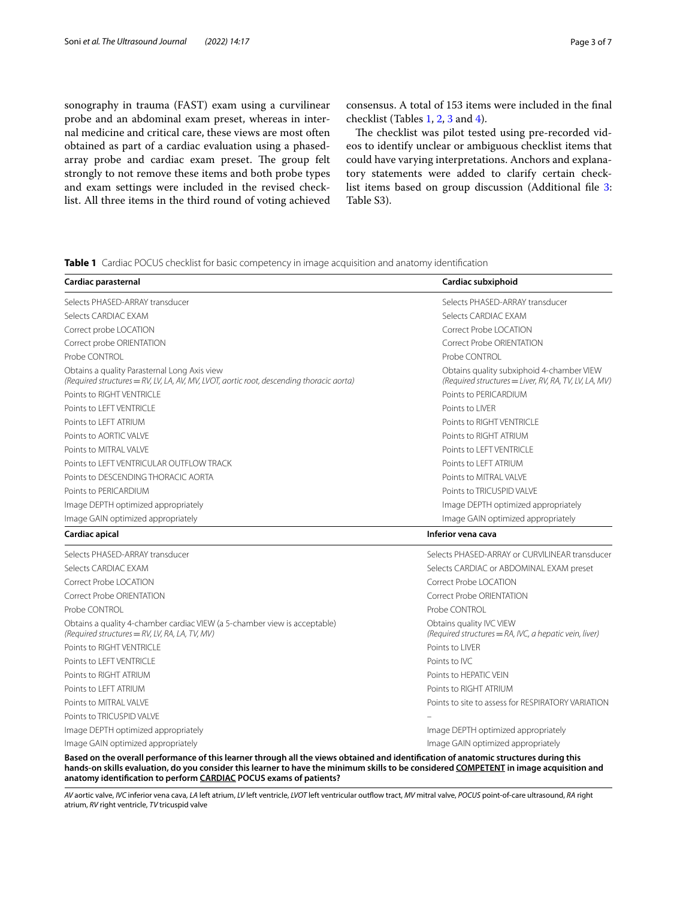sonography in trauma (FAST) exam using a curvilinear probe and an abdominal exam preset, whereas in internal medicine and critical care, these views are most often obtained as part of a cardiac evaluation using a phasedarray probe and cardiac exam preset. The group felt strongly to not remove these items and both probe types and exam settings were included in the revised checklist. All three items in the third round of voting achieved consensus. A total of 153 items were included in the fnal checklist (Tables [1,](#page-2-0) [2](#page-3-0), [3](#page-3-1) and [4](#page-4-0)).

The checklist was pilot tested using pre-recorded videos to identify unclear or ambiguous checklist items that could have varying interpretations. Anchors and explanatory statements were added to clarify certain checklist items based on group discussion (Additional fle [3](#page-5-2): Table S3).

<span id="page-2-0"></span>**Table 1** Cardiac POCUS checklist for basic competency in image acquisition and anatomy identifcation

| Cardiac parasternal                                                                                                                      | Cardiac subxiphoid                                                                                 |
|------------------------------------------------------------------------------------------------------------------------------------------|----------------------------------------------------------------------------------------------------|
| Selects PHASED-ARRAY transducer                                                                                                          | Selects PHASED-ARRAY transducer                                                                    |
| Selects CARDIAC EXAM                                                                                                                     | Selects CARDIAC EXAM                                                                               |
| Correct probe LOCATION                                                                                                                   | Correct Probe LOCATION                                                                             |
| Correct probe ORIENTATION                                                                                                                | Correct Probe ORIENTATION                                                                          |
| Probe CONTROL                                                                                                                            | Probe CONTROL                                                                                      |
| Obtains a quality Parasternal Long Axis view<br>(Required structures = RV, LV, LA, AV, MV, LVOT, aortic root, descending thoracic aorta) | Obtains quality subxiphoid 4-chamber VIEW<br>(Required structures = Liver, RV, RA, TV, LV, LA, MV) |
| Points to RIGHT VENTRICLE                                                                                                                | Points to PERICARDIUM                                                                              |
| Points to LEFT VENTRICLE                                                                                                                 | Points to LIVER                                                                                    |
| Points to LEFT ATRIUM                                                                                                                    | Points to RIGHT VENTRICLE                                                                          |
| Points to AORTIC VALVE                                                                                                                   | Points to RIGHT ATRIUM                                                                             |
| Points to MITRAL VALVE                                                                                                                   | Points to LEFT VENTRICLE                                                                           |
| Points to LEFT VENTRICULAR OUTFLOW TRACK                                                                                                 | Points to LEFT ATRIUM                                                                              |
| Points to DESCENDING THORACIC AORTA                                                                                                      | Points to MITRAL VALVE                                                                             |
| Points to PERICARDIUM                                                                                                                    | Points to TRICUSPID VAI VE                                                                         |
| Image DEPTH optimized appropriately                                                                                                      | Image DEPTH optimized appropriately                                                                |
| Image GAIN optimized appropriately                                                                                                       | Image GAIN optimized appropriately                                                                 |
| Cardiac apical                                                                                                                           | Inferior vena cava                                                                                 |
| Selects PHASED-ARRAY transducer                                                                                                          | Selects PHASED-ARRAY or CURVILINEAR transducer                                                     |
| Selects CARDIAC EXAM                                                                                                                     | Selects CARDIAC or ABDOMINAL EXAM preset                                                           |
| Correct Probe LOCATION                                                                                                                   | Correct Probe LOCATION                                                                             |
| Correct Probe ORIENTATION                                                                                                                | Correct Probe ORIENTATION                                                                          |
| Probe CONTROL                                                                                                                            | Probe CONTROL                                                                                      |
| Obtains a quality 4-chamber cardiac VIEW (a 5-chamber view is acceptable)<br>(Required structures = RV, LV, RA, LA, TV, MV)              | Obtains quality IVC VIEW<br>(Required structures = RA, IVC, a hepatic vein, liver)                 |
| Points to RIGHT VENTRICLE                                                                                                                | Points to LIVER                                                                                    |
| Points to I FFT VENTRICLE                                                                                                                | Points to IVC                                                                                      |
| Points to RIGHT ATRIUM                                                                                                                   | Points to HEPATIC VEIN                                                                             |
| Points to LEFT ATRIUM                                                                                                                    | Points to RIGHT ATRIUM                                                                             |
| Points to MITRAL VALVE                                                                                                                   | Points to site to assess for RESPIRATORY VARIATION                                                 |
| Points to TRICUSPID VAI VE                                                                                                               |                                                                                                    |
| Image DEPTH optimized appropriately                                                                                                      | Image DEPTH optimized appropriately                                                                |
| Image GAIN optimized appropriately                                                                                                       | Image GAIN optimized appropriately                                                                 |
| Based on the overall performance of this learner through all the views obtained and identification of anatomic structures during this    |                                                                                                    |

**hands-on skills evaluation, do you consider this learner to have the minimum skills to be considered COMPETENT in image acquisition and anatomy identifcation to perform CARDIAC POCUS exams of patients?**

AV aortic valve, IVC inferior vena cava, LA left atrium, LV left ventricle, LVOT left ventricular outflow tract, MV mitral valve, POCUS point-of-care ultrasound, RA right atrium, *RV* right ventricle, *TV* tricuspid valve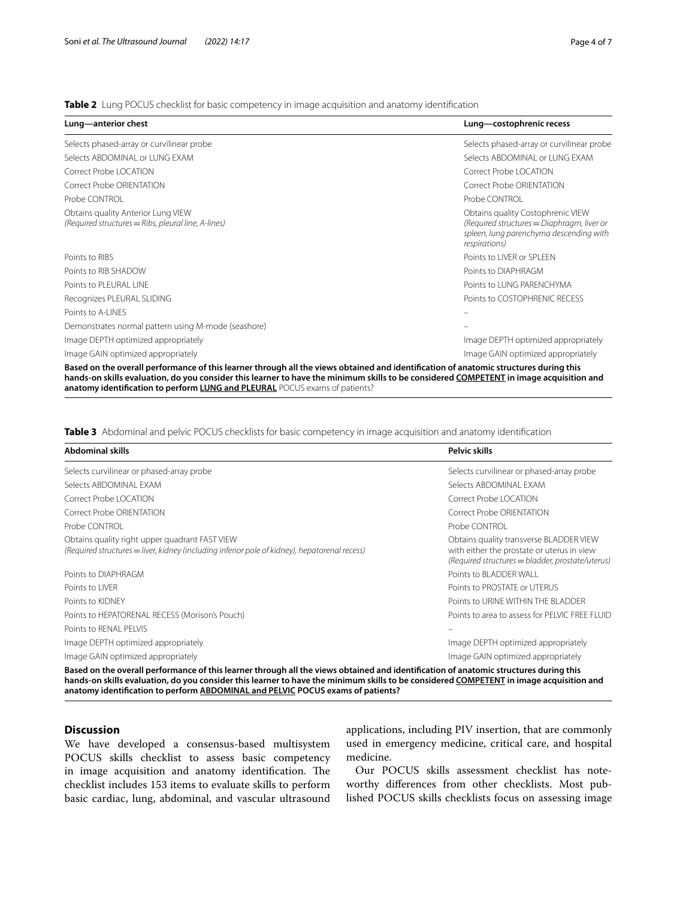<span id="page-3-0"></span>**Table 2** Lung POCUS checklist for basic competency in image acquisition and anatomy identification

| Lung-anterior chest                                                                                                                   | Lung-costophrenic recess                                                                                                                    |
|---------------------------------------------------------------------------------------------------------------------------------------|---------------------------------------------------------------------------------------------------------------------------------------------|
| Selects phased-array or curvilinear probe                                                                                             | Selects phased-array or curvilinear probe                                                                                                   |
| Selects ABDOMINAL or LUNG EXAM                                                                                                        | Selects ABDOMINAL or LUNG EXAM                                                                                                              |
| Correct Probe LOCATION                                                                                                                | Correct Probe LOCATION                                                                                                                      |
| Correct Probe ORIENTATION                                                                                                             | <b>Correct Probe ORIENTATION</b>                                                                                                            |
| Probe CONTROL                                                                                                                         | Probe CONTROL                                                                                                                               |
| Obtains quality Anterior Lung VIEW<br>(Required structures = Ribs, pleural line, A-lines)                                             | Obtains quality Costophrenic VIEW<br>(Required structures = Diaphragm, liver or<br>spleen, lung parenchyma descending with<br>respirations) |
| Points to RIBS                                                                                                                        | Points to LIVER or SPLEEN                                                                                                                   |
| Points to RIB SHADOW                                                                                                                  | Points to DIAPHRAGM                                                                                                                         |
| Points to PLEURAL LINE                                                                                                                | Points to LUNG PARENCHYMA                                                                                                                   |
| Recognizes PLEURAL SLIDING                                                                                                            | Points to COSTOPHRENIC RECESS                                                                                                               |
| Points to A-LINES                                                                                                                     |                                                                                                                                             |
| Demonstrates normal pattern using M-mode (seashore)                                                                                   |                                                                                                                                             |
| Image DEPTH optimized appropriately                                                                                                   | Image DEPTH optimized appropriately                                                                                                         |
| Image GAIN optimized appropriately                                                                                                    | Image GAIN optimized appropriately                                                                                                          |
| Based on the overall performance of this learner through all the views obtained and identification of anatomic structures during this |                                                                                                                                             |

**hands-on skills evaluation, do you consider this learner to have the minimum skills to be considered COMPETENT in image acquisition and anatomy identifcation to perform LUNG and PLEURAL** POCUS exams of patients?

<span id="page-3-1"></span>**Table 3** Abdominal and pelvic POCUS checklists for basic competency in image acquisition and anatomy identifcation

| <b>Abdominal skills</b>                                                                                                                                                                                                                                                          | Pelvic skills                                                                                                                             |
|----------------------------------------------------------------------------------------------------------------------------------------------------------------------------------------------------------------------------------------------------------------------------------|-------------------------------------------------------------------------------------------------------------------------------------------|
| Selects curvilinear or phased-array probe                                                                                                                                                                                                                                        | Selects curvilinear or phased-array probe                                                                                                 |
| Selects ABDOMINAL FXAM                                                                                                                                                                                                                                                           | Selects ABDOMINAL FXAM                                                                                                                    |
| Correct Probe   OCATION                                                                                                                                                                                                                                                          | Correct Probe LOCATION                                                                                                                    |
| Correct Probe ORIENTATION                                                                                                                                                                                                                                                        | Correct Probe ORIENTATION                                                                                                                 |
| Probe CONTROL                                                                                                                                                                                                                                                                    | Probe CONTROL                                                                                                                             |
| Obtains quality right upper quadrant FAST VIEW<br>$(Required structures = liver, kidney (including inferior pole of kidney), hepatorenal recess)$                                                                                                                                | Obtains quality transverse BLADDER VIEW<br>with either the prostate or uterus in view<br>(Required structures = bladder, prostate/uterus) |
| Points to DIAPHRAGM                                                                                                                                                                                                                                                              | Points to BLADDER WALL                                                                                                                    |
| Points to LIVER                                                                                                                                                                                                                                                                  | Points to PROSTATE or UTERUS                                                                                                              |
| Points to KIDNEY                                                                                                                                                                                                                                                                 | Points to URINE WITHIN THE BLADDER                                                                                                        |
| Points to HEPATORENAL RECESS (Morison's Pouch)                                                                                                                                                                                                                                   | Points to area to assess for PFI VIC ERFE FI UID                                                                                          |
| Points to RENAL PELVIS                                                                                                                                                                                                                                                           |                                                                                                                                           |
| Image DEPTH optimized appropriately                                                                                                                                                                                                                                              | Image DEPTH optimized appropriately                                                                                                       |
| Image GAIN optimized appropriately                                                                                                                                                                                                                                               | Image GAIN optimized appropriately                                                                                                        |
| Based on the overall performance of this learner through all the views obtained and identification of anatomic structures during this<br>hands-on skills evaluation, do you consider this learner to have the minimum skills to be considered COMPETENT in image acquisition and |                                                                                                                                           |

**anatomy identifcation to perform ABDOMINAL and PELVIC POCUS exams of patients?**

### **Discussion**

We have developed a consensus-based multisystem POCUS skills checklist to assess basic competency in image acquisition and anatomy identification. The checklist includes 153 items to evaluate skills to perform basic cardiac, lung, abdominal, and vascular ultrasound applications, including PIV insertion, that are commonly used in emergency medicine, critical care, and hospital medicine.

Our POCUS skills assessment checklist has noteworthy diferences from other checklists. Most published POCUS skills checklists focus on assessing image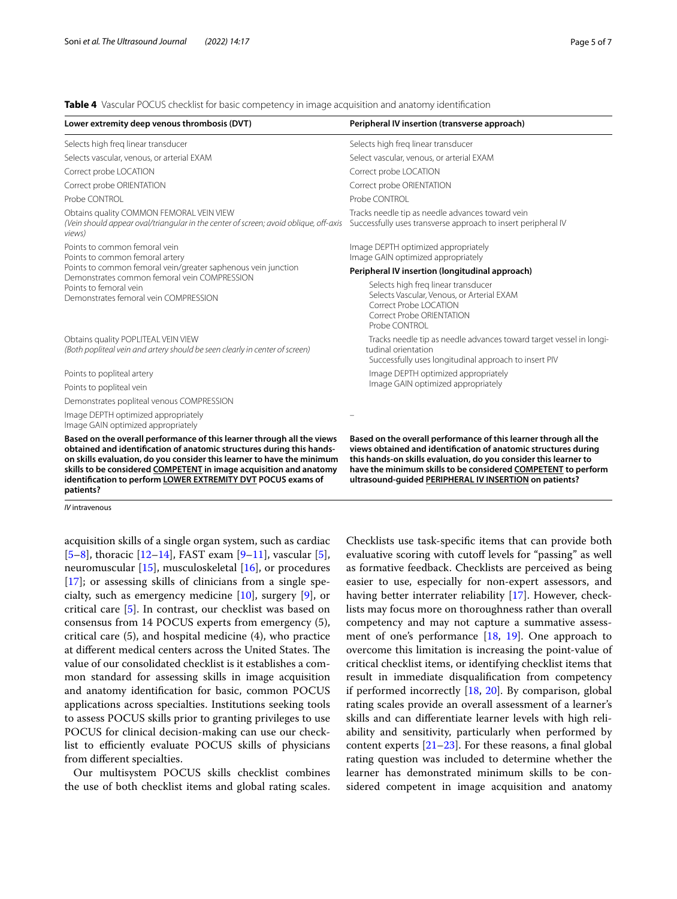<span id="page-4-0"></span>**Table 4** Vascular POCUS checklist for basic competency in image acquisition and anatomy identifcation

| Lower extremity deep venous thrombosis (DVT)                                                                                                                                                                                                                                                                                                                                 | Peripheral IV insertion (transverse approach)                                                                                                                                                                                                                                                                                      |
|------------------------------------------------------------------------------------------------------------------------------------------------------------------------------------------------------------------------------------------------------------------------------------------------------------------------------------------------------------------------------|------------------------------------------------------------------------------------------------------------------------------------------------------------------------------------------------------------------------------------------------------------------------------------------------------------------------------------|
| Selects high freg linear transducer                                                                                                                                                                                                                                                                                                                                          | Selects high freg linear transducer                                                                                                                                                                                                                                                                                                |
| Selects vascular, venous, or arterial EXAM                                                                                                                                                                                                                                                                                                                                   | Select vascular, venous, or arterial EXAM                                                                                                                                                                                                                                                                                          |
| Correct probe LOCATION                                                                                                                                                                                                                                                                                                                                                       | Correct probe LOCATION                                                                                                                                                                                                                                                                                                             |
| Correct probe ORIENTATION                                                                                                                                                                                                                                                                                                                                                    | Correct probe ORIENTATION                                                                                                                                                                                                                                                                                                          |
| Probe CONTROL                                                                                                                                                                                                                                                                                                                                                                | Probe CONTROL                                                                                                                                                                                                                                                                                                                      |
| Obtains quality COMMON FEMORAL VEIN VIEW<br>(Vein should appear oval/triangular in the center of screen; avoid oblique, off-axis<br>views)                                                                                                                                                                                                                                   | Tracks needle tip as needle advances toward vein<br>Successfully uses transverse approach to insert peripheral IV                                                                                                                                                                                                                  |
| Points to common femoral vein<br>Points to common femoral artery<br>Points to common femoral vein/greater saphenous vein junction<br>Demonstrates common femoral vein COMPRESSION<br>Points to femoral vein<br>Demonstrates femoral vein COMPRESSION                                                                                                                         | Image DEPTH optimized appropriately<br>Image GAIN optimized appropriately                                                                                                                                                                                                                                                          |
|                                                                                                                                                                                                                                                                                                                                                                              | Peripheral IV insertion (longitudinal approach)                                                                                                                                                                                                                                                                                    |
|                                                                                                                                                                                                                                                                                                                                                                              | Selects high freg linear transducer<br>Selects Vascular, Venous, or Arterial EXAM<br>Correct Probe   OCATION<br>Correct Probe ORIENTATION<br>Probe CONTROL                                                                                                                                                                         |
| Obtains quality POPLITEAL VEIN VIEW<br>(Both popliteal vein and artery should be seen clearly in center of screen)                                                                                                                                                                                                                                                           | Tracks needle tip as needle advances toward target vessel in longi-<br>tudinal orientation<br>Successfully uses longitudinal approach to insert PIV                                                                                                                                                                                |
| Points to popliteal artery                                                                                                                                                                                                                                                                                                                                                   | Image DEPTH optimized appropriately                                                                                                                                                                                                                                                                                                |
| Points to popliteal vein                                                                                                                                                                                                                                                                                                                                                     | Image GAIN optimized appropriately                                                                                                                                                                                                                                                                                                 |
| Demonstrates popliteal venous COMPRESSION                                                                                                                                                                                                                                                                                                                                    |                                                                                                                                                                                                                                                                                                                                    |
| Image DEPTH optimized appropriately<br>Image GAIN optimized appropriately                                                                                                                                                                                                                                                                                                    |                                                                                                                                                                                                                                                                                                                                    |
| Based on the overall performance of this learner through all the views<br>obtained and identification of anatomic structures during this hands-<br>on skills evaluation, do you consider this learner to have the minimum<br>skills to be considered COMPETENT in image acquisition and anatomy<br>identification to perform LOWER EXTREMITY DVT POCUS exams of<br>patients? | Based on the overall performance of this learner through all the<br>views obtained and identification of anatomic structures during<br>this hands-on skills evaluation, do you consider this learner to<br>have the minimum skills to be considered COMPETENT to perform<br>ultrasound-guided PERIPHERAL IV INSERTION on patients? |

*IV* intravenous

acquisition skills of a single organ system, such as cardiac  $[5–8]$  $[5–8]$  $[5–8]$ , thoracic  $[12–14]$  $[12–14]$  $[12–14]$ , FAST exam  $[9–11]$  $[9–11]$  $[9–11]$ , vascular  $[5]$  $[5]$ , neuromuscular [[15\]](#page-6-10), musculoskeletal [[16\]](#page-6-11), or procedures [[17\]](#page-6-12); or assessing skills of clinicians from a single specialty, such as emergency medicine [\[10](#page-6-13)], surgery [[9\]](#page-6-8), or critical care [\[5](#page-6-4)]. In contrast, our checklist was based on consensus from 14 POCUS experts from emergency (5), critical care (5), and hospital medicine (4), who practice at different medical centers across the United States. The value of our consolidated checklist is it establishes a common standard for assessing skills in image acquisition and anatomy identifcation for basic, common POCUS applications across specialties. Institutions seeking tools to assess POCUS skills prior to granting privileges to use POCUS for clinical decision-making can use our checklist to efficiently evaluate POCUS skills of physicians from diferent specialties.

Our multisystem POCUS skills checklist combines the use of both checklist items and global rating scales.

Checklists use task-specifc items that can provide both evaluative scoring with cutoff levels for "passing" as well as formative feedback. Checklists are perceived as being easier to use, especially for non-expert assessors, and having better interrater reliability [[17\]](#page-6-12). However, checklists may focus more on thoroughness rather than overall competency and may not capture a summative assessment of one's performance [[18](#page-6-14), [19](#page-6-15)]. One approach to overcome this limitation is increasing the point-value of critical checklist items, or identifying checklist items that result in immediate disqualifcation from competency if performed incorrectly [[18,](#page-6-14) [20](#page-6-16)]. By comparison, global rating scales provide an overall assessment of a learner's skills and can diferentiate learner levels with high reliability and sensitivity, particularly when performed by content experts  $[21-23]$  $[21-23]$  $[21-23]$ . For these reasons, a final global rating question was included to determine whether the learner has demonstrated minimum skills to be considered competent in image acquisition and anatomy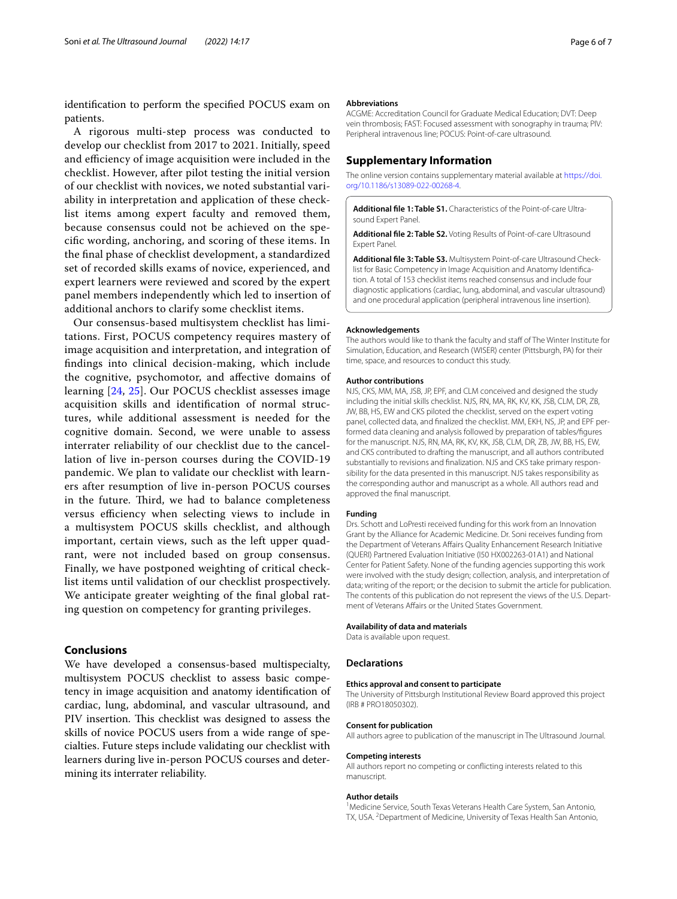identifcation to perform the specifed POCUS exam on patients.

A rigorous multi-step process was conducted to develop our checklist from 2017 to 2021. Initially, speed and efficiency of image acquisition were included in the checklist. However, after pilot testing the initial version of our checklist with novices, we noted substantial variability in interpretation and application of these checklist items among expert faculty and removed them, because consensus could not be achieved on the specifc wording, anchoring, and scoring of these items. In the fnal phase of checklist development, a standardized set of recorded skills exams of novice, experienced, and expert learners were reviewed and scored by the expert panel members independently which led to insertion of additional anchors to clarify some checklist items.

Our consensus-based multisystem checklist has limitations. First, POCUS competency requires mastery of image acquisition and interpretation, and integration of fndings into clinical decision-making, which include the cognitive, psychomotor, and afective domains of learning [[24,](#page-6-19) [25](#page-6-20)]. Our POCUS checklist assesses image acquisition skills and identifcation of normal structures, while additional assessment is needed for the cognitive domain. Second, we were unable to assess interrater reliability of our checklist due to the cancellation of live in-person courses during the COVID-19 pandemic. We plan to validate our checklist with learners after resumption of live in-person POCUS courses in the future. Third, we had to balance completeness versus efficiency when selecting views to include in a multisystem POCUS skills checklist, and although important, certain views, such as the left upper quadrant, were not included based on group consensus. Finally, we have postponed weighting of critical checklist items until validation of our checklist prospectively. We anticipate greater weighting of the fnal global rating question on competency for granting privileges.

### **Conclusions**

We have developed a consensus-based multispecialty, multisystem POCUS checklist to assess basic competency in image acquisition and anatomy identifcation of cardiac, lung, abdominal, and vascular ultrasound, and PIV insertion. This checklist was designed to assess the skills of novice POCUS users from a wide range of specialties. Future steps include validating our checklist with learners during live in-person POCUS courses and determining its interrater reliability.

#### **Abbreviations**

ACGME: Accreditation Council for Graduate Medical Education; DVT: Deep vein thrombosis; FAST: Focused assessment with sonography in trauma; PIV: Peripheral intravenous line; POCUS: Point-of-care ultrasound.

### **Supplementary Information**

The online version contains supplementary material available at [https://doi.](https://doi.org/10.1186/s13089-022-00268-4) [org/10.1186/s13089-022-00268-4](https://doi.org/10.1186/s13089-022-00268-4).

<span id="page-5-1"></span><span id="page-5-0"></span>**Additional fle 1: Table S1.** Characteristics of the Point-of-care Ultrasound Expert Panel.

<span id="page-5-2"></span>**Additional fle 2: Table S2.** Voting Results of Point-of-care Ultrasound Expert Panel.

**Additional fle 3: Table S3.** Multisystem Point-of-care Ultrasound Checklist for Basic Competency in Image Acquisition and Anatomy Identifcation. A total of 153 checklist items reached consensus and include four diagnostic applications (cardiac, lung, abdominal, and vascular ultrasound) and one procedural application (peripheral intravenous line insertion).

#### **Acknowledgements**

The authors would like to thank the faculty and staf of The Winter Institute for Simulation, Education, and Research (WISER) center (Pittsburgh, PA) for their time, space, and resources to conduct this study.

#### **Author contributions**

NJS, CKS, MM, MA, JSB, JP, EPF, and CLM conceived and designed the study including the initial skills checklist. NJS, RN, MA, RK, KV, KK, JSB, CLM, DR, ZB, JW, BB, HS, EW and CKS piloted the checklist, served on the expert voting panel, collected data, and fnalized the checklist. MM, EKH, NS, JP, and EPF performed data cleaning and analysis followed by preparation of tables/fgures for the manuscript. NJS, RN, MA, RK, KV, KK, JSB, CLM, DR, ZB, JW, BB, HS, EW, and CKS contributed to drafting the manuscript, and all authors contributed substantially to revisions and fnalization. NJS and CKS take primary responsibility for the data presented in this manuscript. NJS takes responsibility as the corresponding author and manuscript as a whole. All authors read and approved the fnal manuscript.

#### **Funding**

Drs. Schott and LoPresti received funding for this work from an Innovation Grant by the Alliance for Academic Medicine. Dr. Soni receives funding from the Department of Veterans Afairs Quality Enhancement Research Initiative (QUERI) Partnered Evaluation Initiative (I50 HX002263-01A1) and National Center for Patient Safety. None of the funding agencies supporting this work were involved with the study design; collection, analysis, and interpretation of data; writing of the report; or the decision to submit the article for publication. The contents of this publication do not represent the views of the U.S. Department of Veterans Affairs or the United States Government.

#### **Availability of data and materials**

Data is available upon request.

#### **Declarations**

#### **Ethics approval and consent to participate**

The University of Pittsburgh Institutional Review Board approved this project (IRB # PRO18050302).

#### **Consent for publication**

All authors agree to publication of the manuscript in The Ultrasound Journal.

#### **Competing interests**

All authors report no competing or conficting interests related to this manuscript.

#### **Author details**

<sup>1</sup> Medicine Service, South Texas Veterans Health Care System, San Antonio, TX, USA. <sup>2</sup> Department of Medicine, University of Texas Health San Antonio,